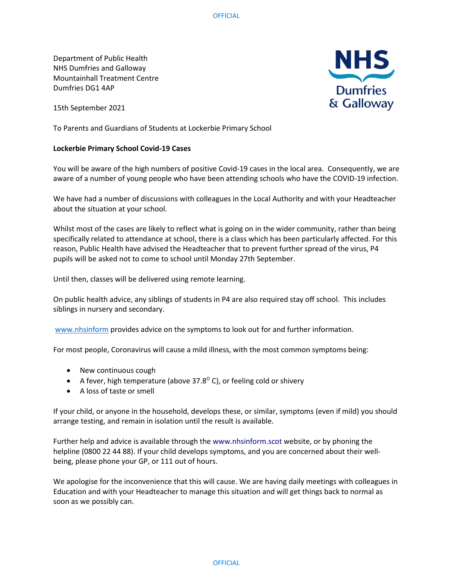Department of Public Health NHS Dumfries and Galloway Mountainhall Treatment Centre Dumfries DG1 4AP

15th September 2021

To Parents and Guardians of Students at Lockerbie Primary School

## **Lockerbie Primary School Covid-19 Cases**

You will be aware of the high numbers of positive Covid-19 cases in the local area. Consequently, we are aware of a number of young people who have been attending schools who have the COVID-19 infection.

We have had a number of discussions with colleagues in the Local Authority and with your Headteacher about the situation at your school.

Whilst most of the cases are likely to reflect what is going on in the wider community, rather than being specifically related to attendance at school, there is a class which has been particularly affected. For this reason, Public Health have advised the Headteacher that to prevent further spread of the virus, P4 pupils will be asked not to come to school until Monday 27th September.

Until then, classes will be delivered using remote learning.

On public health advice, any siblings of students in P4 are also required stay off school. This includes siblings in nursery and secondary.

[www.nhsinform](http://www.nhsinform/) provides advice on the symptoms to look out for and further information.

For most people, Coronavirus will cause a mild illness, with the most common symptoms being:

- New continuous cough
- A fever, high temperature (above 37.8 $\degree$  C), or feeling cold or shivery
- A loss of taste or smell

If your child, or anyone in the household, develops these, or similar, symptoms (even if mild) you should arrange testing, and remain in isolation until the result is available.

Further help and advice is available through the www.nhsinform.scot website, or by phoning the helpline (0800 22 44 88). If your child develops symptoms, and you are concerned about their wellbeing, please phone your GP, or 111 out of hours.

We apologise for the inconvenience that this will cause. We are having daily meetings with colleagues in Education and with your Headteacher to manage this situation and will get things back to normal as soon as we possibly can.